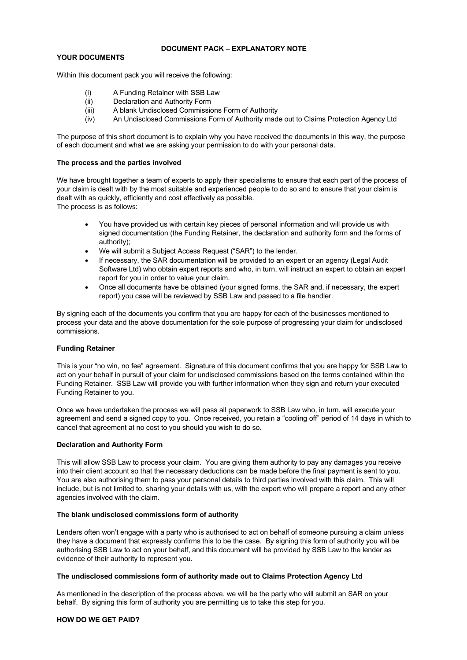### **DOCUMENT PACK – EXPLANATORY NOTE**

## **YOUR DOCUMENTS**

Within this document pack you will receive the following:

- (i) A Funding Retainer with SSB Law
- (ii) Declaration and Authority Form
- (iii) A blank Undisclosed Commissions Form of Authority
- (iv) An Undisclosed Commissions Form of Authority made out to Claims Protection Agency Ltd

The purpose of this short document is to explain why you have received the documents in this way, the purpose of each document and what we are asking your permission to do with your personal data.

### **The process and the parties involved**

We have brought together a team of experts to apply their specialisms to ensure that each part of the process of your claim is dealt with by the most suitable and experienced people to do so and to ensure that your claim is dealt with as quickly, efficiently and cost effectively as possible. The process is as follows:

- You have provided us with certain key pieces of personal information and will provide us with signed documentation (the Funding Retainer, the declaration and authority form and the forms of authority);
- We will submit a Subject Access Request ("SAR") to the lender.
- If necessary, the SAR documentation will be provided to an expert or an agency (Legal Audit Software Ltd) who obtain expert reports and who, in turn, will instruct an expert to obtain an expert report for you in order to value your claim.
- Once all documents have be obtained (your signed forms, the SAR and, if necessary, the expert report) you case will be reviewed by SSB Law and passed to a file handler.

By signing each of the documents you confirm that you are happy for each of the businesses mentioned to process your data and the above documentation for the sole purpose of progressing your claim for undisclosed commissions.

### **Funding Retainer**

This is your "no win, no fee" agreement. Signature of this document confirms that you are happy for SSB Law to act on your behalf in pursuit of your claim for undisclosed commissions based on the terms contained within the Funding Retainer. SSB Law will provide you with further information when they sign and return your executed Funding Retainer to you.

Once we have undertaken the process we will pass all paperwork to SSB Law who, in turn, will execute your agreement and send a signed copy to you. Once received, you retain a "cooling off" period of 14 days in which to cancel that agreement at no cost to you should you wish to do so.

### **Declaration and Authority Form**

This will allow SSB Law to process your claim. You are giving them authority to pay any damages you receive into their client account so that the necessary deductions can be made before the final payment is sent to you. You are also authorising them to pass your personal details to third parties involved with this claim. This will include, but is not limited to, sharing your details with us, with the expert who will prepare a report and any other agencies involved with the claim.

### **The blank undisclosed commissions form of authority**

Lenders often won't engage with a party who is authorised to act on behalf of someone pursuing a claim unless they have a document that expressly confirms this to be the case. By signing this form of authority you will be authorising SSB Law to act on your behalf, and this document will be provided by SSB Law to the lender as evidence of their authority to represent you.

### **The undisclosed commissions form of authority made out to Claims Protection Agency Ltd**

As mentioned in the description of the process above, we will be the party who will submit an SAR on your behalf. By signing this form of authority you are permitting us to take this step for you.

### **HOW DO WE GET PAID?**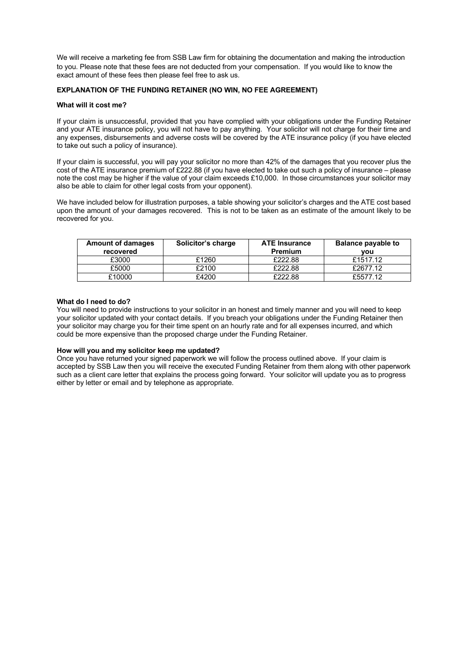We will receive a marketing fee from SSB Law firm for obtaining the documentation and making the introduction to you. Please note that these fees are not deducted from your compensation. If you would like to know the exact amount of these fees then please feel free to ask us.

### **EXPLANATION OF THE FUNDING RETAINER (NO WIN, NO FEE AGREEMENT)**

### **What will it cost me?**

If your claim is unsuccessful, provided that you have complied with your obligations under the Funding Retainer and your ATE insurance policy, you will not have to pay anything. Your solicitor will not charge for their time and any expenses, disbursements and adverse costs will be covered by the ATE insurance policy (if you have elected to take out such a policy of insurance).

If your claim is successful, you will pay your solicitor no more than 42% of the damages that you recover plus the cost of the ATE insurance premium of £222.88 (if you have elected to take out such a policy of insurance – please note the cost may be higher if the value of your claim exceeds £10,000. In those circumstances your solicitor may also be able to claim for other legal costs from your opponent).

We have included below for illustration purposes, a table showing your solicitor's charges and the ATE cost based upon the amount of your damages recovered. This is not to be taken as an estimate of the amount likely to be recovered for you.

| <b>Amount of damages</b><br>recovered | Solicitor's charge | <b>ATE Insurance</b><br><b>Premium</b> | <b>Balance payable to</b><br>vou |
|---------------------------------------|--------------------|----------------------------------------|----------------------------------|
| £3000                                 | £1260              | £222.88                                | £1517.12                         |
| £5000                                 | £2100              | £222.88                                | £2677.12                         |
| £10000                                | £4200              | £222.88                                | £5577.12                         |

### **What do I need to do?**

You will need to provide instructions to your solicitor in an honest and timely manner and you will need to keep your solicitor updated with your contact details. If you breach your obligations under the Funding Retainer then your solicitor may charge you for their time spent on an hourly rate and for all expenses incurred, and which could be more expensive than the proposed charge under the Funding Retainer.

### **How will you and my solicitor keep me updated?**

Once you have returned your signed paperwork we will follow the process outlined above. If your claim is accepted by SSB Law then you will receive the executed Funding Retainer from them along with other paperwork such as a client care letter that explains the process going forward. Your solicitor will update you as to progress either by letter or email and by telephone as appropriate.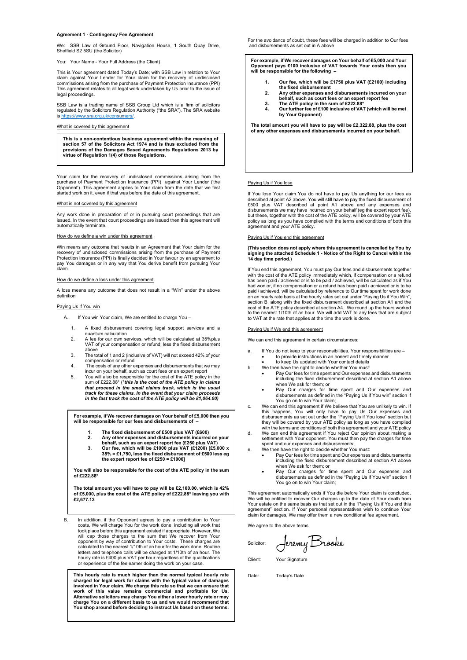#### **Agreement 1 - Contingency Fee Agreement**

We: SSB Law of Ground Floor, Navigation House, 1 South Quay Drive, Sheffield S2 5SU (the Solicitor)

You: Your Name - Your Full Address (the Client)

This is Your agreement dated Today's Date; with SSB Law in relation to Your claim against Your Lender for Your claim for the recovery of undisclosed commissions arising from the purchase of Payment Protection Insurance (PPI) This agreement relates to all legal work undertaken by Us prior to the issue of legal proceedings.

SSB Law is a trading name of SSB Group Ltd which is a firm of solicitors regulated by the Solicitors Regulation Authority ("the SRA"). The SRA website is https://www.sra.org.uk/consumers/.

What is covered by this agreement

**This is a non-contentious business agreement within the meaning of section 57 of the Solicitors Act 1974 and is thus excluded from the provisions of the Damages Based Agreements Regulations 2013 by virtue of Regulation 1(4) of those Regulations.**

Your claim for the recovery of undisclosed commissions arising from the purchase of Payment Protection Insurance (PPI) against Your Lender ('the Opponent'). This agreement applies to Your claim from the date that we first started work on it, even if that was before the date of this agreement.

### What is not covered by this agreement

Any work done in preparation of or in pursuing court proceedings that are issued. In the event that court proceedings are issued then this agreement will automatically terminate.

#### How do we define a win under this agreement

Win means any outcome that results in an Agreement that Your claim for the recovery of undisclosed commissions arising from the purchase of Payment Protection Insurance (PPI) is finally decided in Your favour by an agreement to pay You damages or in any way that You derive benefit from pursuing Your claim.

#### How do we define a loss under this agreement

A loss means any outcome that does not result in a "Win" under the above definition

#### Paying Us if You win

- A. If You win Your claim, We are entitled to charge You
	- 1. A fixed disbursement covering legal support services and a quantum calculation
	- 2. A fee for our own services, which will be calculated at 35%plus VAT of your compensation or refund, less the fixed disbursement
	- above 3. The total of 1 and 2 (inclusive of VAT) will not exceed 42% of your compensation or refund
	- 4. The costs of any other expenses and disbursements that we may incur on your behalf, such as court fees or an expert report 5. You will also be responsible for the cost of the ATE policy in the
	- sum of £222.88\* (\**this is the cost of the ATE policy in claims that proceed in the small claims track, which is the usual track for these claims. In the event that your claim proceeds in the fast track the cost of the ATE policy will be £1,064.00)*

**For example, if We recover damages on Your behalf of £5,000 then you will be responsible for our fees and disbursements of –**

- **1. The fixed disbursement of £500 plus VAT (£600)**
- **2. Any other expenses and disbursements incurred on your**
- **behalf, such as an expert report fee (£250 plus VAT) 3. Our fee, which will be £1000 plus VAT (£1200) [£5,000 x 35% = £1,750, less the fixed disbursement of £500 less eg the expert report fee of £250 = £1000]**

**You will also be responsible for the cost of the ATE policy in the sum of £222.88\***

**The total amount you will have to pay will be £2,100.00, which is 42% of £5,000, plus the cost of the ATE policy of £222.88\* leaving you with £2,677.12**

B. In addition, if the Opponent agrees to pay a contribution to Your<br>costs, We will charge You for the work done, including all work that<br>took place before this agreement existed if appropriate. However, We will cap those charges to the sum that We recover from Your opponent by way of contribution to Your costs. These charges are calculated to the nearest 1/10th of an hour for the work done. Routine letters and telephone calls will be charged at 1/10th of an hour. The hourly rate is £400 plus VAT per hour regardless of the qualifications or experience of the fee earner doing the work on your case.

**This hourly rate is much higher than the normal typical hourly rate charged for legal work for claims with the typical value of damages involved in Your claim. We charge this rate so that we can ensure that work of this value remains commercial and profitable for Us. Alternative solicitors may charge You either a lower hourly rate or may charge You on a different basis to us and we would recommend that You shop around before deciding to instruct Us based on these terms.**  For the avoidance of doubt, these fees will be charged in addition to Our fees and disbursements as set out in A above

**For example, if We recover damages on Your behalf of £5,000 and Your Opponent pays £100 inclusive of VAT towards Your costs then you will be responsible for the following –**

- **1. Our fee, which will be £1750 plus VAT (£2100) including**
- **the fixed disbursement 2. Any other expenses and disbursements incurred on your**
- **behalf, such as court fees or an expert report fee 3. The ATE policy in the sum of £222.88\***
- **4. Our further fee of £100 inclusive of VAT (which will be met by Your Opponent)**

**The total amount you will have to pay will be £2,322.88, plus the cost of any other expenses and disbursements incurred on your behalf.**

#### Paying Us if You lose

If You lose Your claim You do not have to pay Us anything for our fees as described at point A2 above. You will still have to pay the fixed disbursement of £500 plus VAT described at point A1 above and any expenses and disbursements we may have incurred on your behalf (eg the expert report fee),<br>but these, together with the cost of the ATE policy, will be covered by your ATE<br>policy as long as you have complied with the terms and conditio

#### ing Us if Y

**(This section does not apply where this agreement is cancelled by You by signing the attached Schedule 1 - Notice of the Right to Cancel within the 14 day time period.)**

If You end this agreement, You must pay Our fees and disbursements together<br>with the cost of the ATE policy immediately which, if compensation or a refund<br>has been paid / achieved or is to be paid / achieved, will be calcu had won or, if no compensation or a refund has been paid / achieved or is to be paid / achieved, will be calculated by reference to Our time spent for work done on an hourly rate basis at the hourly rates set out under "Paying Us if You Win", section B, along with the fixed disbursement described at section A1 and the<br>cost of the ATE policy described at section A4. We round up the hours worked<br>to the nearest 1/10th of an hour. We will add VAT to any fees that a to VAT at the rate that applies at the time the work is done.

### Paying Us if We end this agreement

We can end this agreement in certain circumstances:

- a. If You do not keep to your responsibilities. Your responsibilities are • to provide instructions in an honest and timely manner
- to keep Us updated with Your contact details b. We then have the right to decide whether You must:
	-
	- Pay Our fees for time spent and Our expenses and disbursements including the fixed disbursement described at section A1 above
	- when We ask for them; or<br>• Pay Our charges for time spent and Our expenses and<br>disbursements as defined in the "Paying Us if You win" section if You go on to win Your claim;
- c. We can end this agreement if We believe that You are unlikely to win. If this happens, You will only have to<br>this happens, You will only have to pay Us Our expenses and<br>disbursements as set out under the "Paying Us if Y
- they will be covered by your ATE policy as long as you have complied<br>with the terms and conditions of both this agreement and your ATE policy<br>d. We can end this agreement if You reject Our opinion about making a<br>settlement spent and our expenses and disbursements;
- e. We then have the right to decide whether You must:
	- Pay Our fees for time spent and Our expenses and disbursements including the fixed disbursement described at section A1 above when We ask for them; or • Pay Our charges for time spent and Our expenses and
		- disbursements as defined in the "Paying Us if You win" section if You go on to win Your claim;

This agreement automatically ends if You die before Your claim is concluded. We will be entitled to recover Our charges up to the date of Your death from Your estate on the same basis as that set out in the "Paying Us if You end this agreement" section. If Your personal representatives wish to continue Your claim for damages, We may offer them a new conditional fee agreement.

We agree to the above terms:

Jeremy Brooke Solicitor:

Client: Your Signature

Date: Today's Date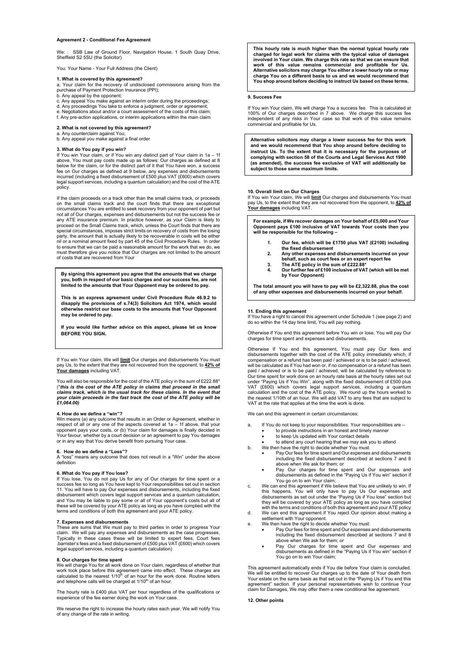#### **Agreement 2 - Conditional Fee Agreement**

We: : SSB Law of Ground Floor, Navigation House, 1 South Quay Drive, Sheffield S2 5SU (the Solicitor)

You: Your Name - Your Full Address (the Client)

#### **1. What is covered by this agreement?**

a. Your claim for the recovery of undisclosed commissions arising from the purchase of Payment Protection Insurance (PPI);

- 
- b. Any appeal by the opponent; c. Any appeal You make against an interim order during the proceedings;
- d. Any proceedings You take to enforce a judgment, order or agreement;
- e. Negotiations about and/or a court assessment of the costs of this claim; f. Any pre-action applications, or interim applications within the main claim
- 

#### **2. What is not covered by this agreement?**

a. Any counterclaim against You; b. Any appeal you make against a final order

#### **3. What do You pay if you win?**

If You win Your claim, or if You win any distinct part of Your claim in 1a – 1f above, You must pay costs made up as follows: Our charges as defined at 8 below for the claim, or for the distinct part of it that You have won, a success fee on Our charges as defined at 9 below, any expenses and disbursements<br>incurred (including a fixed disbursement of £500 plus VAT (£600) which covers<br>legal support services, including a quantum calculation) and the cost o policy.

If the claim proceeds on a track other than the small claims track, or proceeds on the small claims track and the court finds that there are exceptional circumstances You are entitled to seek recovery from your opponent of part but not all of Our charges, expenses and disbursements but not the success fee or any ATE insurance premium. In practice however, as your Claim is likely to proceed on the Small Claims track, which, unless the Court finds that there are special circumstances, imposes strict limits on recovery of costs from the losing party, the amount that is actually likely to be recoverable in costs will be either nil or a nominal amount fixed by part 45 of the Civil Procedure Rules. In order to ensure that we can be paid a reasonable amount for the work that we do, we must therefore give you notice that Our charges are not limited to the amount of costs that are recovered from Your

By signing this agreement you agree that the amounts that we charge<br>you, both in respect of our basic charges and our success fee, are not<br>limited to the amounts that Your Opponent may be ordered to pay.

**This is an express agreement under Civil Procedure Rule 46.9.2 to disapply the provisions of s.74(3) Solicitors Act 1974, which would otherwise restrict our base costs to the amounts that Your Opponent may be ordered to pay.**

**If you would like further advice on this aspect, please let us know BEFORE YOU SIGN.**

If You win Your claim, We will **limit** Our charges and disbursements You must pay Us, to the extent that they are not recovered from the opponent, to **42% of Your damages** including VAT.

You will also be responsible for the cost of the ATE policy in the sum of £222.88\* (\**this is the cost of the ATE policy in claims that proceed in the small claims track, which is the usual track for these claims. In the event that your claim proceeds in the fast track the cost of the ATE policy will be £1,064.00)*

#### **4. How do we define a "win"?**

Win means (a) any outcome that results in an Order or Agreement, whether in respect of all or any one of the aspects covered at 1a – 1f above, that your opponent pays your costs, or (b) Your claim for damages is finally decided in Your favour, whether by a court decision or an agreement to pay You damages or in any way that You derive benefit from pursuing Your case.

#### **6. How do we define a "Loss"?**

A "loss" means any outcome that does not result in a "Win" under the above definition

#### **6. What do You pay if You lose?**

If You lose, You do not pay Us for any of Our charges for time spent or a success fee so long as You have kept to Your responsibilities set out in section 11. You will have to pay Our expenses and disbursements, including the fixed disbursement which covers legal support services and a quantum calculation, and You may be liable to pay some or all of Your opponent's costs but all of these will be covered by your ATE policy as long as you have complied with the terms and conditions of both this agreement and your ATE policy.

#### **7. Expenses and disbursements**

These are sums that We must pay to third parties in order to progress Your claim. We will pay any expenses and disbursements as the case progresses. Typically in these cases these will be limited to expert fees, Court fees ,barrister's fees and a fixed disbursement of £500 plus VAT (£600) which covers legal support services, including a quantum calculation)

#### **8. Our charges for time spent**

We will charge You for all work done on Your claim, regardless of whether that work took place before this agreement came into effect. These charges are<br>calculated to the nearest 1/10t<sup>h</sup> of an hour for the work done. Routine letters<br>and telephone calls will be charged at 1/10<sup>th</sup> of an hour.

The hourly rate is £400 plus VAT per hour regardless of the qualifications or experience of the fee earner doing the work on Your case.

We reserve the right to increase the hourly rates each year. We will notify You of any change of the rate in writing.

**This hourly rate is much higher than the normal typical hourly rate charged for legal work for claims with the typical value of damages involved in Your claim. We charge this rate so that we can ensure that**  work of this value remains commercial and profitable for Us.<br>Alternative solicitors may charge You either a lower hourly rate or may<br>charge You on a different basis to us and we would recommend that<br>You shop around before

#### **9. Success Fee**

If You win Your claim, We will charge You a success fee. This is calculated at<br>100% of Our charges described in 7 above. We charge this success fee<br>independent of any risks in Your case so that work of this value remain commercial and profitable for Us.

**Alternative solicitors may charge a lower success fee for this work and we would recommend that You shop around before deciding to instruct Us. To the extent that it is necessary for the purposes of complying with section 58 of the Courts and Legal Services Act 1990 (as amended), the success fee exclusive of VAT will additionally be subject to those same maximum limits.**

#### **10. Overall limit on Our Charges**

If You win Your claim, We will **limit** Our charges and disbursements You must pay Us, to the extent that they are not recovered from the opponent, to **42% of Your damages** including VAT.

**For example, if We recover damages on Your behalf of £5,000 and Your Opponent pays £100 inclusive of VAT towards Your costs then you will be responsible for the following –**

- **1. Our fee, which will be £1750 plus VAT (£2100) including the fixed disbursement**
- **2. Any other expenses and disbursements incurred on your**
- **behalf, such as court fees or an expert report fee 3. The ATE policy in the sum of £222.88\***
- **4. Our further fee of £100 inclusive of VAT (which will be met by Your Opponent)**

**The total amount you will have to pay will be £2,322.88, plus the cost of any other expenses and disbursements incurred on your behalf.**

**11. Ending this agreement** If You have a right to cancel this agreement under Schedule 1 (see page 2) and do so within the 14 day time limit, You will pay nothing.

Otherwise if You end this agreement before You win or lose, You will pay Our charges for time spent and expenses and disbursements.

Otherwise If You end this agreement, You must pay Our fees and disbursements together with the cost of the ATE policy immediately which, if compensation or a refund has been paid / achieved or is to be paid / achieved, will be calculated as if You had won or, if no compensation or a refund has been paid / achieved or is to be paid / achieved, will be calculated by reference to Our time spent for work done on an hourly rate basis at the hourly rates set out under "Paying Us if You Win", along with the fixed disbursement of £500 plus VAT (£600) which covers legal support services, including a quantum calculation and the cost of the ATE policy. We round up the hours worked to the nearest 1/10th of an hour. We will add VAT to any fees that are subject to

We can end this agreement in certain circumstances

- a. If You do not keep to your responsibilities. Your responsibilities are
	- to provide instructions in an honest and timely manner to keep Us updated with Your contact details
	- to attend any court hearing that we may ask you to attend
- b. We then have the right to decide whether You must:
	- Pay Our fees for time spent and Our expenses and disbursements including the fixed disbursement described at sections 7 and 8 above when We ask for them; or
- Pay Our charges for time spent and Our expenses and disbursements as defined in the "Paying Us if You win" section if You go on to win Your claim;<br>c. We can end this agreement if We believe that You are unlikely to win. If
- this happens, You will only have to pay Us Our expenses and disbursements as set out under the "Paying Us if You lose" section but they will be covered by your ATE policy as long as you have complied with the terms and conditions of both this agreement and your ATE policy d. We can end this agreement if You reject Our opinion about making a
- settlement with Your opponent.
- e. We then have the right to decide whether You must:
	- Pay Our fees for time spent and Our expenses and disbursements including the fixed disbursement described at sections 7 and 8 above when We ask for them; or
	- Pay Our charges for time spent and Our expenses and disbursements as defined in the "Paying Us if You win" section if You go on to win Your claim:

This agreement automatically ends if You die before Your claim is concluded. We will be entitled to recover Our charges up to the date of Your death from Your estate on the same basis as that set out in the "Paying Us if You end this agreement" section. If your personal representatives wish to continue Your claim for Damages, We may offer them a new conditional fee agreement.

**12. Other points**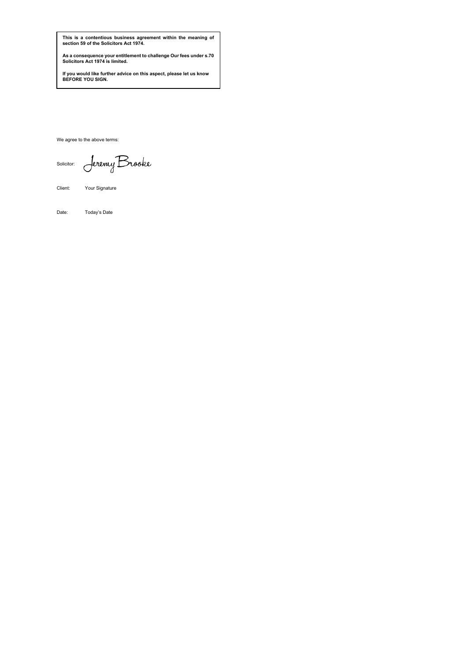**This is a contentious business agreement within the meaning of section 59 of the Solicitors Act 1974.**

**As a consequence your entitlement to challenge Our fees under s.70 Solicitors Act 1974 is limited.**

**If you would like further advice on this aspect, please let us know BEFORE YOU SIGN.**

We agree to the above terms:

Jeremy Brooke Solicitor:

Client: Your Signature

Date: Today's Date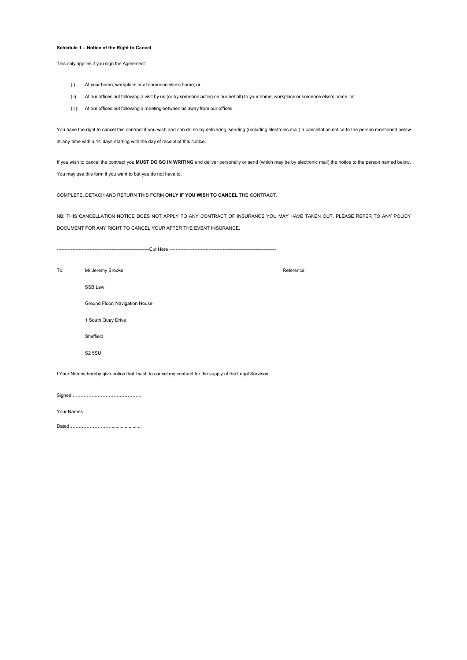### **Schedule 1 – Notice of the Right to Cancel**

This only applies if you sign the Agreement:

- (i). At your home, workplace or at someone else's home; or
- (ii). At our offices but following a visit by us (or by someone acting on our behalf) to your home, workplace or someone else's home; or
- (iii). At our offices but following a meeting between us away from our offices.

You have the right to cancel this contract if you wish and can do so by delivering, sending (including electronic mail) a cancellation notice to the person mentioned below at any time within 14 days starting with the day of receipt of this Notice.

If you wish to cancel the contract you **MUST DO SO IN WRITING** and deliver personally or send (which may be by electronic mail) the notice to the person named below. You may use this form if you want to but you do not have to.

COMPLETE, DETACH AND RETURN THIS FORM **ONLY IF YOU WISH TO CANCEL** THE CONTRACT.

NB: THIS CANCELLATION NOTICE DOES NOT APPLY TO ANY CONTRACT OF INSURANCE YOU MAY HAVE TAKEN OUT. PLEASE REFER TO ANY POLICY DOCUMENT FOR ANY RIGHT TO CANCEL YOUR AFTER THE EVENT INSURANCE.

| To: | Mr Jeremy Brooke                                                                                        | Reference: |  |  |
|-----|---------------------------------------------------------------------------------------------------------|------------|--|--|
|     | SSB Law                                                                                                 |            |  |  |
|     | Ground Floor, Navigation House                                                                          |            |  |  |
|     | 1 South Quay Drive                                                                                      |            |  |  |
|     | Sheffield                                                                                               |            |  |  |
|     | <b>S2 5SU</b>                                                                                           |            |  |  |
|     | I Your Names hereby give notice that I wish to cancel my contract for the supply of the Legal Services. |            |  |  |
|     |                                                                                                         |            |  |  |

Your Names

Dated……………………….......................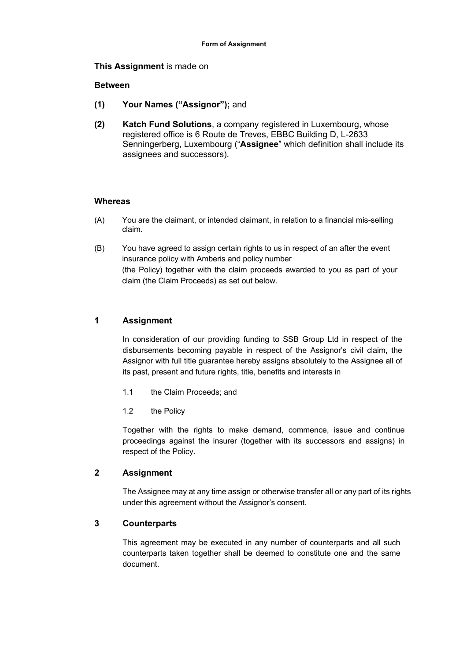**This Assignment** is made on

## **Between**

- **(1) Your Names ("Assignor");** and
- **(2) Katch Fund Solutions**, a company registered in Luxembourg, whose registered office is 6 Route de Treves, EBBC Building D, L-2633 Senningerberg, Luxembourg ("**Assignee**" which definition shall include its assignees and successors).

## **Whereas**

- (A) You are the claimant, or intended claimant, in relation to a financial mis-selling claim.
- (B) You have agreed to assign certain rights to us in respect of an after the event insurance policy with Amberis and policy number (the Policy) together with the claim proceeds awarded to you as part of your claim (the Claim Proceeds) as set out below.

## **1 Assignment**

In consideration of our providing funding to SSB Group Ltd in respect of the disbursements becoming payable in respect of the Assignor's civil claim, the Assignor with full title guarantee hereby assigns absolutely to the Assignee all of its past, present and future rights, title, benefits and interests in

- 1.1 the Claim Proceeds; and
- 1.2 the Policy

Together with the rights to make demand, commence, issue and continue proceedings against the insurer (together with its successors and assigns) in respect of the Policy.

## **2 Assignment**

The Assignee may at any time assign or otherwise transfer all or any part of its rights under this agreement without the Assignor's consent.

## **3 Counterparts**

This agreement may be executed in any number of counterparts and all such counterparts taken together shall be deemed to constitute one and the same document.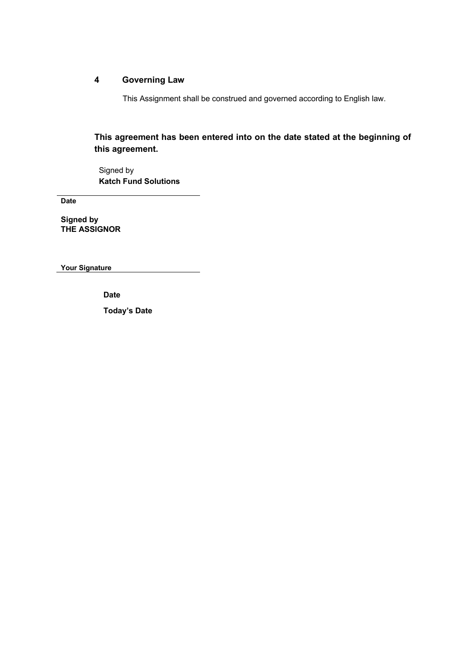## **4 Governing Law**

This Assignment shall be construed and governed according to English law.

## **This agreement has been entered into on the date stated at the beginning of this agreement.**

Signed by **Katch Fund Solutions**

**Date**

**Signed by THE ASSIGNOR**

**Your Signature**

**Date**

**Today's Date**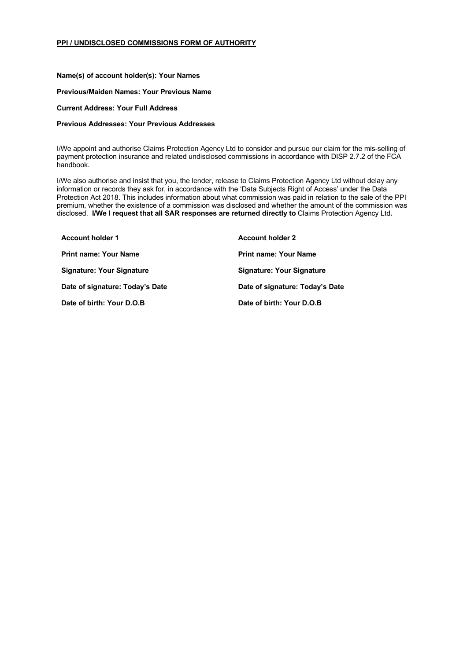### **PPI / UNDISCLOSED COMMISSIONS FORM OF AUTHORITY**

### **Name(s) of account holder(s): Your Names**

### **Previous/Maiden Names: Your Previous Name**

**Current Address: Your Full Address**

### **Previous Addresses: Your Previous Addresses**

I/We appoint and authorise Claims Protection Agency Ltd to consider and pursue our claim for the mis-selling of payment protection insurance and related undisclosed commissions in accordance with DISP 2.7.2 of the FCA handbook.

I/We also authorise and insist that you, the lender, release to Claims Protection Agency Ltd without delay any information or records they ask for, in accordance with the 'Data Subjects Right of Access' under the Data Protection Act 2018. This includes information about what commission was paid in relation to the sale of the PPI premium, whether the existence of a commission was disclosed and whether the amount of the commission was disclosed. **I/We I request that all SAR responses are returned directly to** Claims Protection Agency Ltd**.**

| <b>Account holder 1</b>          | <b>Account holder 2</b>          |
|----------------------------------|----------------------------------|
| <b>Print name: Your Name</b>     | <b>Print name: Your Name</b>     |
| <b>Signature: Your Signature</b> | <b>Signature: Your Signature</b> |
| Date of signature: Today's Date  | Date of signature: Today's Date  |
| Date of birth: Your D.O.B        | Date of birth: Your D.O.B        |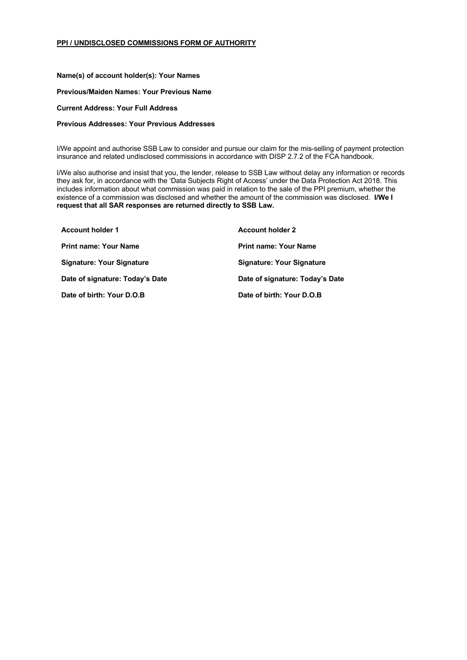### **PPI / UNDISCLOSED COMMISSIONS FORM OF AUTHORITY**

### **Name(s) of account holder(s): Your Names**

### **Previous/Maiden Names: Your Previous Name**

### **Current Address: Your Full Address**

### **Previous Addresses: Your Previous Addresses**

I/We appoint and authorise SSB Law to consider and pursue our claim for the mis-selling of payment protection insurance and related undisclosed commissions in accordance with DISP 2.7.2 of the FCA handbook.

I/We also authorise and insist that you, the lender, release to SSB Law without delay any information or records they ask for, in accordance with the 'Data Subjects Right of Access' under the Data Protection Act 2018. This includes information about what commission was paid in relation to the sale of the PPI premium, whether the existence of a commission was disclosed and whether the amount of the commission was disclosed. **I/We I request that all SAR responses are returned directly to SSB Law.**

| <b>Account holder 1</b>          | <b>Account holder 2</b>          |
|----------------------------------|----------------------------------|
| <b>Print name: Your Name</b>     | <b>Print name: Your Name</b>     |
| <b>Signature: Your Signature</b> | <b>Signature: Your Signature</b> |
| Date of signature: Today's Date  | Date of signature: Today's Date  |
| Date of birth: Your D.O.B        | Date of birth: Your D.O.B        |